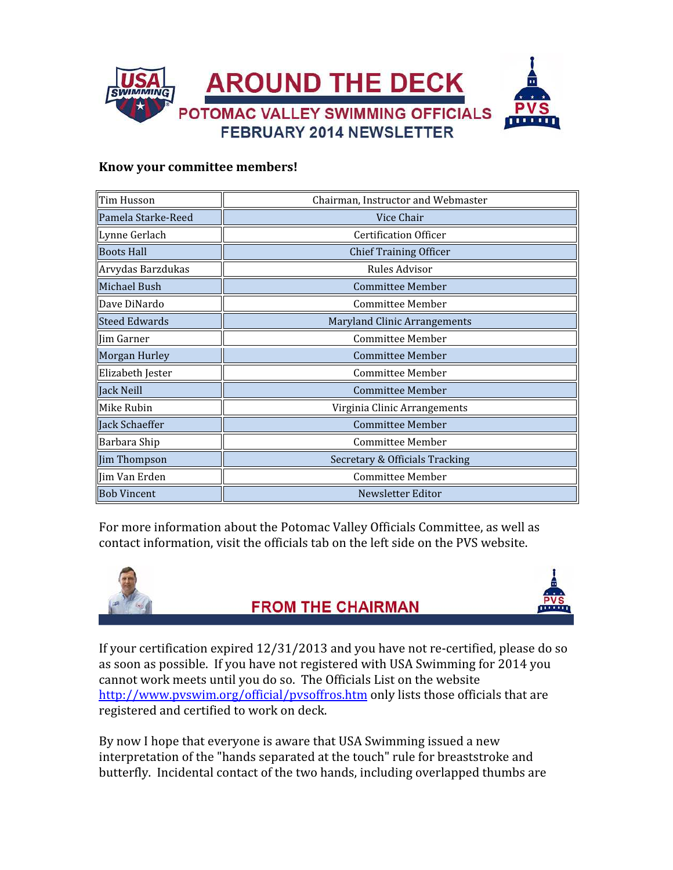

#### Know your committee members!

| Tim Husson           | Chairman, Instructor and Webmaster  |  |  |
|----------------------|-------------------------------------|--|--|
| Pamela Starke-Reed   | Vice Chair                          |  |  |
| Lynne Gerlach        | Certification Officer               |  |  |
| <b>Boots Hall</b>    | <b>Chief Training Officer</b>       |  |  |
| Arvydas Barzdukas    | Rules Advisor                       |  |  |
| Michael Bush         | <b>Committee Member</b>             |  |  |
| <b>Dave DiNardo</b>  | <b>Committee Member</b>             |  |  |
| <b>Steed Edwards</b> | <b>Maryland Clinic Arrangements</b> |  |  |
| llim Garner          | <b>Committee Member</b>             |  |  |
| Morgan Hurley        | <b>Committee Member</b>             |  |  |
| Elizabeth Jester     | <b>Committee Member</b>             |  |  |
| Jack Neill           | <b>Committee Member</b>             |  |  |
| Mike Rubin           | Virginia Clinic Arrangements        |  |  |
| Jack Schaeffer       | <b>Committee Member</b>             |  |  |
| Barbara Ship         | <b>Committee Member</b>             |  |  |
| Jim Thompson         | Secretary & Officials Tracking      |  |  |
| ∥Jim Van Erden       | Committee Member                    |  |  |
| <b>Bob Vincent</b>   | Newsletter Editor                   |  |  |

For more information about the Potomac Valley Officials Committee, as well as contact information, visit the officials tab on the left side on the PVS website.



### **FROM THE CHAIRMAN**



If your certification expired 12/31/2013 and you have not re-certified, please do so as soon as possible. If you have not registered with USA Swimming for 2014 you cannot work meets until you do so. The Officials List on the website http://www.pvswim.org/official/pvsoffros.htm only lists those officials that are registered and certified to work on deck.

By now I hope that everyone is aware that USA Swimming issued a new interpretation of the "hands separated at the touch" rule for breaststroke and butterfly. Incidental contact of the two hands, including overlapped thumbs are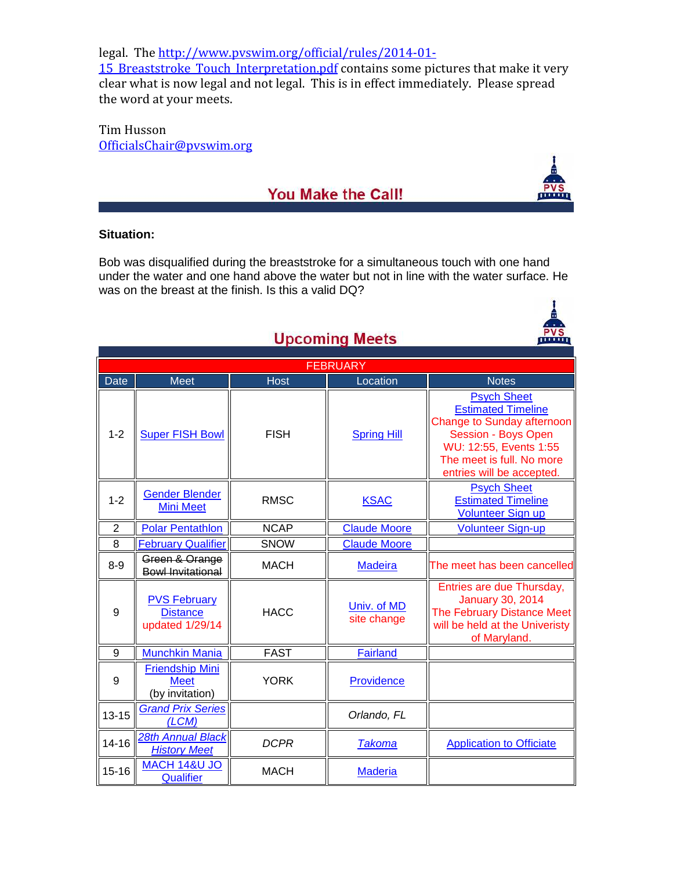legal. The http://www.pvswim.org/official/rules/2014-01-

15 Breaststroke Touch Interpretation.pdf contains some pictures that make it very clear what is now legal and not legal. This is in effect immediately. Please spread the word at your meets.

Tim Husson OfficialsChair@pvswim.org

### You Make the Call!

#### **Situation:**

Bob was disqualified during the breaststroke for a simultaneous touch with one hand under the water and one hand above the water but not in line with the water surface. He was on the breast at the finish. Is this a valid DQ?

| <b>Opcoming Meets</b><br>. |                                                           |             |                            |                                                                                                                                                                                                        |  |  |  |  |
|----------------------------|-----------------------------------------------------------|-------------|----------------------------|--------------------------------------------------------------------------------------------------------------------------------------------------------------------------------------------------------|--|--|--|--|
| <b>FEBRUARY</b>            |                                                           |             |                            |                                                                                                                                                                                                        |  |  |  |  |
| <b>Date</b>                | <b>Meet</b>                                               | Host        | Location                   | <b>Notes</b>                                                                                                                                                                                           |  |  |  |  |
| $1 - 2$                    | <b>Super FISH Bowl</b>                                    | <b>FISH</b> | <b>Spring Hill</b>         | <b>Psych Sheet</b><br><b>Estimated Timeline</b><br><b>Change to Sunday afternoon</b><br><b>Session - Boys Open</b><br>WU: 12:55, Events 1:55<br>The meet is full. No more<br>entries will be accepted. |  |  |  |  |
| $1 - 2$                    | <b>Gender Blender</b><br><b>Mini Meet</b>                 | <b>RMSC</b> | <b>KSAC</b>                | <b>Psych Sheet</b><br><b>Estimated Timeline</b><br><b>Volunteer Sign up</b>                                                                                                                            |  |  |  |  |
| $\overline{2}$             | <b>Polar Pentathlon</b>                                   | <b>NCAP</b> | <b>Claude Moore</b>        | <b>Volunteer Sign-up</b>                                                                                                                                                                               |  |  |  |  |
| 8                          | <b>February Qualifier</b>                                 | SNOW        | <b>Claude Moore</b>        |                                                                                                                                                                                                        |  |  |  |  |
| $8-9$                      | Green & Orange<br><b>Bowl Invitational</b>                | <b>MACH</b> | <b>Madeira</b>             | The meet has been cancelled                                                                                                                                                                            |  |  |  |  |
| $\boldsymbol{9}$           | <b>PVS February</b><br><b>Distance</b><br>updated 1/29/14 | <b>HACC</b> | Univ. of MD<br>site change | Entries are due Thursday,<br><b>January 30, 2014</b><br>The February Distance Meet<br>will be held at the Univeristy<br>of Maryland.                                                                   |  |  |  |  |
| 9                          | <b>Munchkin Mania</b>                                     | <b>FAST</b> | <b>Fairland</b>            |                                                                                                                                                                                                        |  |  |  |  |
| 9                          | <b>Friendship Mini</b><br><b>Meet</b><br>(by invitation)  | <b>YORK</b> | Providence                 |                                                                                                                                                                                                        |  |  |  |  |
| $13 - 15$                  | <b>Grand Prix Series</b><br>(LCM)                         |             | Orlando, FL                |                                                                                                                                                                                                        |  |  |  |  |
| $14 - 16$                  | 28th Annual Black<br><b>History Meet</b>                  | <b>DCPR</b> | <b>Takoma</b>              | <b>Application to Officiate</b>                                                                                                                                                                        |  |  |  |  |
| $15 - 16$                  | <b>MACH 14&amp;U JO</b><br>Qualifier                      | <b>MACH</b> | <b>Maderia</b>             |                                                                                                                                                                                                        |  |  |  |  |

## **Ilncoming Meets**



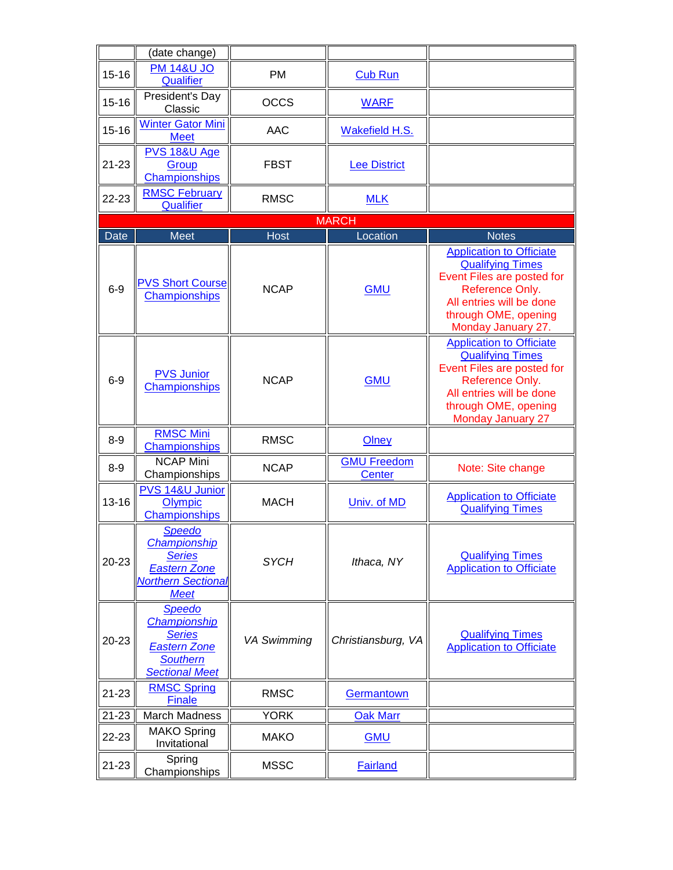|             | (date change)                                                                                                     |                    |                                     |                                                                                                                                                                                             |
|-------------|-------------------------------------------------------------------------------------------------------------------|--------------------|-------------------------------------|---------------------------------------------------------------------------------------------------------------------------------------------------------------------------------------------|
| $15 - 16$   | <b>PM 14&amp;U JO</b><br>Qualifier                                                                                | PM                 | <b>Cub Run</b>                      |                                                                                                                                                                                             |
| $15 - 16$   | President's Day<br>Classic                                                                                        | <b>OCCS</b>        | <b>WARF</b>                         |                                                                                                                                                                                             |
| $15 - 16$   | <b>Winter Gator Mini</b><br><b>Meet</b>                                                                           | AAC                | Wakefield H.S.                      |                                                                                                                                                                                             |
| $21 - 23$   | PVS 18&U Age<br>Group<br>Championships                                                                            | <b>FBST</b>        | <b>Lee District</b>                 |                                                                                                                                                                                             |
| 22-23       | <b>RMSC February</b><br>Qualifier                                                                                 | <b>RMSC</b>        | <b>MLK</b>                          |                                                                                                                                                                                             |
|             |                                                                                                                   |                    | <b>MARCH</b>                        |                                                                                                                                                                                             |
| <b>Date</b> | Meet                                                                                                              | <b>Host</b>        | Location                            | <b>Notes</b>                                                                                                                                                                                |
| $6-9$       | <b>PVS Short Course</b><br>Championships                                                                          | <b>NCAP</b>        | <b>GMU</b>                          | <b>Application to Officiate</b><br><b>Qualifying Times</b><br>Event Files are posted for<br>Reference Only.<br>All entries will be done<br>through OME, opening<br>Monday January 27.       |
| $6-9$       | <b>PVS Junior</b><br>Championships                                                                                | <b>NCAP</b>        | <b>GMU</b>                          | <b>Application to Officiate</b><br><b>Qualifying Times</b><br>Event Files are posted for<br>Reference Only.<br>All entries will be done<br>through OME, opening<br><b>Monday January 27</b> |
| $8-9$       | <b>RMSC Mini</b><br>Championships                                                                                 | <b>RMSC</b>        | Olney                               |                                                                                                                                                                                             |
| $8-9$       | <b>NCAP Mini</b><br>Championships                                                                                 | <b>NCAP</b>        | <b>GMU Freedom</b><br><b>Center</b> | Note: Site change                                                                                                                                                                           |
| $13 - 16$   | PVS 14&U Junior<br>Olympic<br>Championships                                                                       | <b>MACH</b>        | Univ. of MD                         | <b>Application to Officiate</b><br><b>Qualifying Times</b>                                                                                                                                  |
| 20-23       | <b>Speedo</b><br>Championship<br><b>Series</b><br><b>Eastern Zone</b><br><b>Northern Sectional</b><br><b>Meet</b> | <b>SYCH</b>        | Ithaca, NY                          | <b>Qualifying Times</b><br><b>Application to Officiate</b>                                                                                                                                  |
| 20-23       | <b>Speedo</b><br><b>Championship</b><br><b>Series</b><br><b>Eastern Zone</b><br>Southern<br><b>Sectional Meet</b> | <b>VA Swimming</b> | Christiansburg, VA                  | <b>Qualifying Times</b><br><b>Application to Officiate</b>                                                                                                                                  |
| $21 - 23$   | <b>RMSC Spring</b><br><b>Finale</b>                                                                               | <b>RMSC</b>        | Germantown                          |                                                                                                                                                                                             |
| 21-23       | March Madness                                                                                                     | <b>YORK</b>        | <b>Oak Marr</b>                     |                                                                                                                                                                                             |
| 22-23       | <b>MAKO Spring</b><br>Invitational                                                                                | <b>MAKO</b>        | <b>GMU</b>                          |                                                                                                                                                                                             |
| $21 - 23$   | Spring<br>Championships                                                                                           | <b>MSSC</b>        | <b>Fairland</b>                     |                                                                                                                                                                                             |